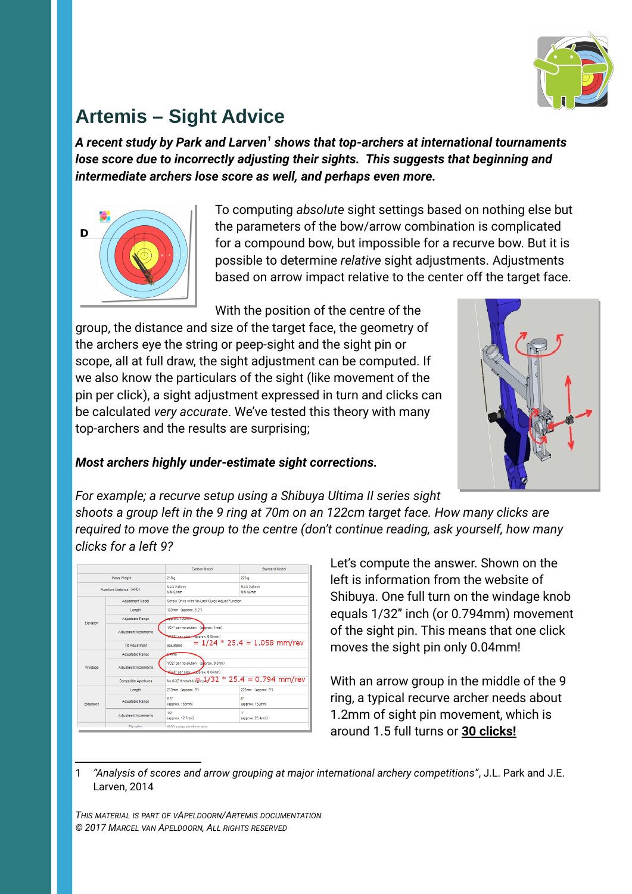

# **Artemis – Sight Advice**

A recent study by Park and Larven<sup>[1](#page-0-0)</sup> shows that top-archers at international tournaments *lose score due to incorrectly adjusting their sights. This suggests that beginning and intermediate archers lose score as well, and perhaps even more.*



To computing *absolute* sight settings based on nothing else but the parameters of the bow/arrow combination is complicated for a compound bow, but impossible for a recurve bow. But it is possible to determine *relative* sight adjustments. Adjustments based on arrow impact relative to the center off the target face.

With the position of the centre of the

group, the distance and size of the target face, the geometry of the archers eye the string or peep-sight and the sight pin or scope, all at full draw, the sight adjustment can be computed. If we also know the particulars of the sight (like movement of the pin per click), a sight adjustment expressed in turn and clicks can be calculated *very accurate*. We've tested this theory with many top-archers and the results are surprising;



#### *Most archers highly under-estimate sight corrections.*

*For example; a recurve setup using a Shibuya Ultima II series sight shoots a group left in the 9 ring at 70m on an 122cm target face. How many clicks are required to move the group to the centre (don't continue reading, ask yourself, how many clicks for a left 9?*

|                                                 |                             | Carbon Model                                                              | <b>Standard Model</b>   |
|-------------------------------------------------|-----------------------------|---------------------------------------------------------------------------|-------------------------|
| <b>Mass Weight</b>                              |                             | 218 <sub>a</sub>                                                          | 223 a                   |
| Aperture Distance (APD)                         |                             | MAX 248mm<br><b>MIN 83mm</b>                                              | MAX 248mm<br>MIN 96mm   |
| Flevation                                       | Adiustment Model            | Screw Drive with No-Lock Quick Adiust Function                            |                         |
|                                                 | Lenoth                      | 133mm (approx. 5.2")                                                      |                         |
|                                                 | Adjustable Range            | <b>APPROX: 109mm</b>                                                      |                         |
|                                                 | Adjustment Increments       | 1/24" per revolution (aborox, 1mm)<br>1480" ner click-fapprox, 0.05mm)    |                         |
|                                                 | <b>Tit Adjustment</b>       | $= 1/24 * 25.4 = 1.058$ mm/rev<br>adjustable                              |                         |
| Windage                                         | Adiustable Range            | <b>Comm</b>                                                               |                         |
|                                                 | Adjustment Increments       | 1/32" per revolution (a prox. 0.8mm)<br>44640" per click_Copprox, 0.04mm) |                         |
|                                                 | <b>Compatible Apertures</b> | No.8-32 threaded $\frac{1}{2}$ $\frac{1}{2}$ / 32 * 25.4 = 0.794 mm/rev   |                         |
| Extension                                       | Length                      | 233mm (approx. 9")                                                        | 225mm (approx, 9")      |
|                                                 | Adjustable Range            | 6.5"<br>(approx, 165mm)                                                   | 61<br>(approx. 152mm)   |
|                                                 | Adjustment Increments       | $1/2$ <sup>*</sup><br>(approx, 12.7mm)                                    | 4ft<br>(approx, 25.4mm) |
| <b>COOO corios shiminum alloy</b><br>Eleccetion |                             |                                                                           |                         |

Let's compute the answer. Shown on the left is information from the website of Shibuya. One full turn on the windage knob equals 1/32" inch (or 0.794mm) movement of the sight pin. This means that one click moves the sight pin only 0.04mm!

With an arrow group in the middle of the 9 ring, a typical recurve archer needs about 1.2mm of sight pin movement, which is around 1.5 full turns or **30 clicks!**

<span id="page-0-0"></span>1 *"Analysis of scores and arrow grouping at major international archery competitions"*, J.L. Park and J.E. Larven, 2014

*THIS MATERIAL IS PART OF VAPELDOORN/ARTEMIS DOCUMENTATION © 2017 MARCEL VAN APELDOORN, ALL RIGHTS RESERVED*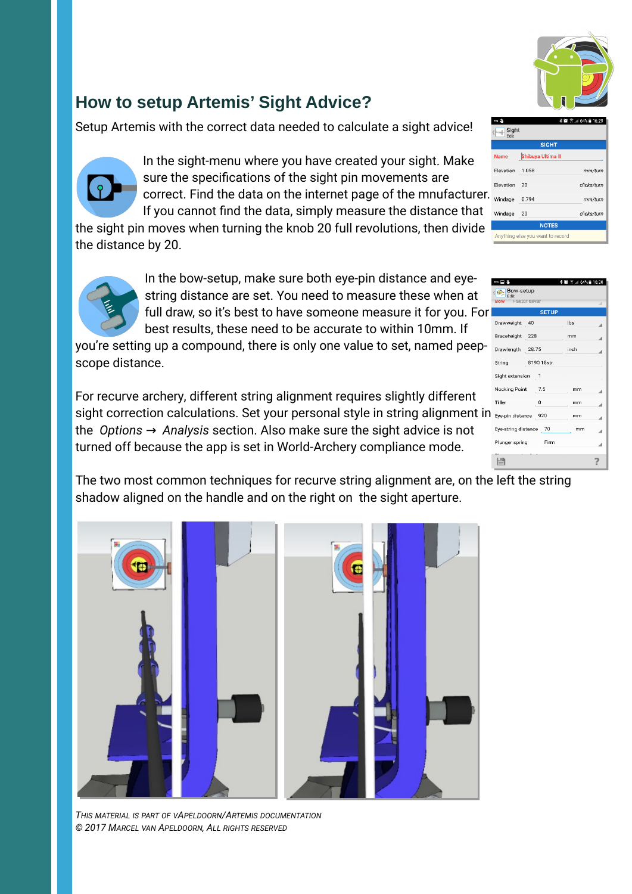

mm/turn

clicks/turn

clicks/turn

Sight<br>Edit

Elevation

Elevation

Windage

Windage 20

Shibuya Ultima II

1.058

0.794

Anything else you want to record

## **How to setup Artemis' Sight Advice?**

Setup Artemis with the correct data needed to calculate a sight advice!



In the sight-menu where you have created your sight. Make sure the specifications of the sight pin movements are correct. Find the data on the internet page of the mnufacturer. If you cannot find the data, simply measure the distance that

the sight pin moves when turning the knob 20 full revolutions, then divide the distance by 20.



In the bow-setup, make sure both eye-pin distance and eyestring distance are set. You need to measure these when at full draw, so it's best to have someone measure it for you. For best results, these need to be accurate to within 10mm. If

you're setting up a compound, there is only one value to set, named peepscope distance.

For recurve archery, different string alignment requires slightly different sight correction calculations. Set your personal style in string alignment in Eyepin distance 920 the *Options* → Analysis section. Also make sure the sight advice is not turned off because the app is set in World-Archery compliance mode.



The two most common techniques for recurve string alignment are, on the left the string shadow aligned on the handle and on the right on the sight aperture.



*THIS MATERIAL IS PART OF VAPELDOORN/ARTEMIS DOCUMENTATION © 2017 MARCEL VAN APELDOORN, ALL RIGHTS RESERVED*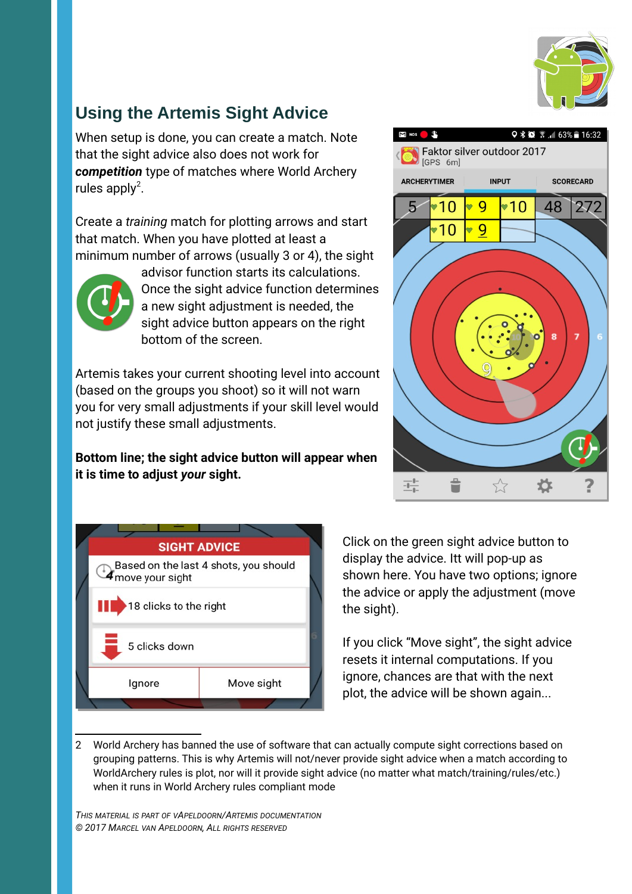

## **Using the Artemis Sight Advice**

When setup is done, you can create a match. Note that the sight advice also does not work for *competition* type of matches where World Archery rules apply<sup>[2](#page-2-0)</sup>.

Create a *training* match for plotting arrows and start that match. When you have plotted at least a minimum number of arrows (usually 3 or 4), the sight



advisor function starts its calculations. Once the sight advice function determines a new sight adjustment is needed, the sight advice button appears on the right bottom of the screen.

Artemis takes your current shooting level into account (based on the groups you shoot) so it will not warn you for very small adjustments if your skill level would not justify these small adjustments.

**Bottom line; the sight advice button will appear when it is time to adjust** *your* **sight.** 



Click on the green sight advice button to display the advice. Itt will pop-up as shown here. You have two options; ignore the advice or apply the adjustment (move the sight).

If you click "Move sight", the sight advice resets it internal computations. If you ignore, chances are that with the next plot, the advice will be shown again...

*THIS MATERIAL IS PART OF VAPELDOORN/ARTEMIS DOCUMENTATION © 2017 MARCEL VAN APELDOORN, ALL RIGHTS RESERVED*



<span id="page-2-0"></span><sup>2</sup> World Archery has banned the use of software that can actually compute sight corrections based on grouping patterns. This is why Artemis will not/never provide sight advice when a match according to WorldArchery rules is plot, nor will it provide sight advice (no matter what match/training/rules/etc.) when it runs in World Archery rules compliant mode